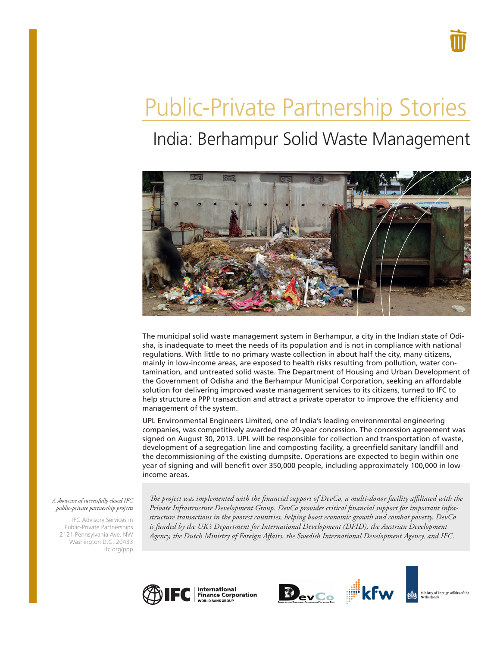# Public-Private Partnership Stories

## India: Berhampur Solid Waste Management



The municipal solid waste management system in Berhampur, a city in the Indian state of Odisha, is inadequate to meet the needs of its population and is not in compliance with national regulations. With little to no primary waste collection in about half the city, many citizens, mainly in low-income areas, are exposed to health risks resulting from pollution, water contamination, and untreated solid waste. The Department of Housing and Urban Development of the Government of Odisha and the Berhampur Municipal Corporation, seeking an affordable solution for delivering improved waste management services to its citizens, turned to IFC to help structure a PPP transaction and attract a private operator to improve the efficiency and management of the system.

UPL Environmental Engineers Limited, one of India's leading environmental engineering companies, was competitively awarded the 20-year concession. The concession agreement was signed on August 30, 2013. UPL will be responsible for collection and transportation of waste, development of a segregation line and composting facility, a greenfield sanitary landfill and the decommissioning of the existing dumpsite. Operations are expected to begin within one year of signing and will benefit over 350,000 people, including approximately 100,000 in lowincome areas.

#### *A showcase of successfully closed IFC public-private partnership projects*

IFC Advisory Services in Public-Private Partnerships 2121 Pennsylvania Ave. NW Washington D.C. 20433 ifc.org/ppp

*The project was implemented with the financial support of DevCo, a multi-donor facility affiliated with the Private Infrastructure Development Group. DevCo provides critical financial support for important infrastructure transactions in the poorest countries, helping boost economic growth and combat poverty. DevCo*  is funded by the UK's Department for International Development (DFID), the Austrian Development *Agency, the Dutch Ministry of Foreign Affairs, the Swedish International Development Agency, and IFC.*







Ministry of Foreign Affairs of the<br>Netherlands